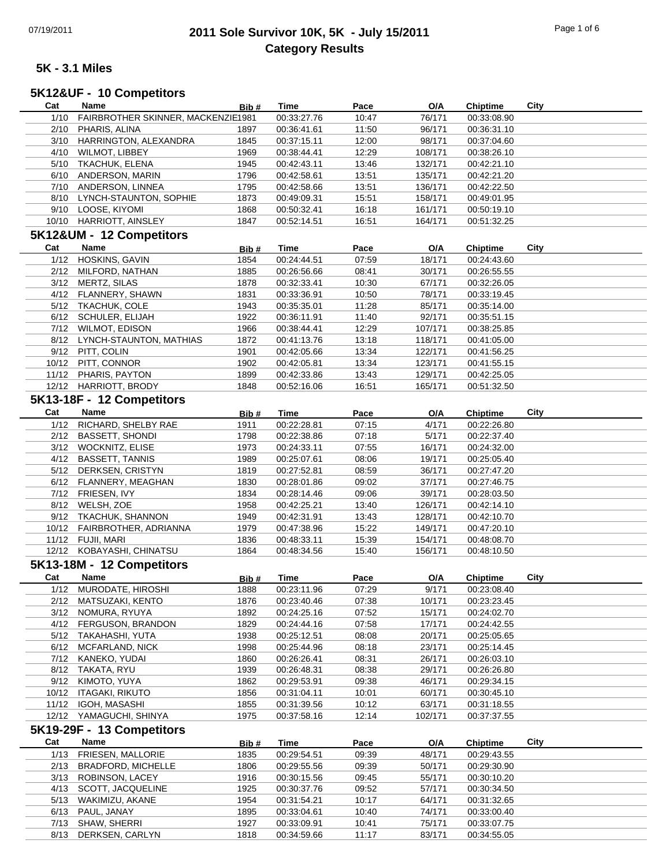## 07/19/2011 **2011 Sole Survivor 10K, 5K - July 15/2011** Page 1 of 6 **Category Results**

### **5K - 3.1 Miles**

# **5K12&UF - 10 Competitors**

| Cat   | Name                               | Bib# | Time        | Pace  | O/A        | <b>Chiptime</b> | City |
|-------|------------------------------------|------|-------------|-------|------------|-----------------|------|
| 1/10  | FAIRBROTHER SKINNER, MACKENZIE1981 |      | 00:33:27.76 | 10:47 | 76/171     | 00:33:08.90     |      |
| 2/10  | PHARIS, ALINA                      | 1897 | 00:36:41.61 | 11:50 | 96/171     | 00:36:31.10     |      |
|       | 3/10 HARRINGTON, ALEXANDRA         | 1845 | 00:37:15.11 | 12:00 | 98/171     | 00:37:04.60     |      |
| 4/10  | <b>WILMOT, LIBBEY</b>              | 1969 | 00:38:44.41 | 12:29 | 108/171    | 00:38:26.10     |      |
|       | 5/10 TKACHUK, ELENA                | 1945 | 00:42:43.11 | 13:46 | 132/171    | 00:42:21.10     |      |
|       |                                    |      |             |       |            |                 |      |
|       | 6/10 ANDERSON, MARIN               | 1796 | 00:42:58.61 | 13:51 | 135/171    | 00:42:21.20     |      |
|       | 7/10 ANDERSON, LINNEA              | 1795 | 00:42:58.66 | 13:51 | 136/171    | 00:42:22.50     |      |
| 8/10  | LYNCH-STAUNTON, SOPHIE             | 1873 | 00:49:09.31 | 15:51 | 158/171    | 00:49:01.95     |      |
|       | 9/10 LOOSE, KIYOMI                 | 1868 | 00:50:32.41 | 16:18 | 161/171    | 00:50:19.10     |      |
|       | 10/10 HARRIOTT, AINSLEY            | 1847 | 00:52:14.51 | 16:51 | 164/171    | 00:51:32.25     |      |
|       | 5K12&UM - 12 Competitors           |      |             |       |            |                 |      |
|       |                                    |      |             |       |            |                 |      |
| Cat   | Name                               | Bib# | Time        | Pace  | O/A        | <b>Chiptime</b> | City |
| 1/12  | HOSKINS, GAVIN                     | 1854 | 00:24:44.51 | 07:59 | 18/171     | 00:24:43.60     |      |
| 2/12  | MILFORD, NATHAN                    | 1885 | 00:26:56.66 | 08:41 | 30/171     | 00:26:55.55     |      |
|       | 3/12 MERTZ, SILAS                  | 1878 | 00:32:33.41 | 10:30 | 67/171     | 00:32:26.05     |      |
| 4/12  | FLANNERY, SHAWN                    | 1831 | 00:33:36.91 | 10:50 | 78/171     | 00:33:19.45     |      |
|       | 5/12 TKACHUK, COLE                 | 1943 | 00:35:35.01 | 11:28 | 85/171     | 00:35:14.00     |      |
|       | 6/12 SCHULER, ELIJAH               | 1922 | 00:36:11.91 | 11:40 | 92/171     | 00:35:51.15     |      |
|       | 7/12 WILMOT, EDISON                | 1966 | 00:38:44.41 | 12:29 | 107/171    | 00:38:25.85     |      |
|       | 8/12 LYNCH-STAUNTON, MATHIAS       | 1872 | 00:41:13.76 | 13:18 | 118/171    | 00:41:05.00     |      |
|       | 9/12 PITT, COLIN                   | 1901 |             | 13:34 | 122/171    | 00:41:56.25     |      |
|       |                                    |      | 00:42:05.66 |       |            |                 |      |
| 10/12 | PITT, CONNOR                       | 1902 | 00:42:05.81 | 13:34 | 123/171    | 00:41:55.15     |      |
|       | 11/12 PHARIS, PAYTON               | 1899 | 00:42:33.86 | 13:43 | 129/171    | 00:42:25.05     |      |
|       | 12/12 HARRIOTT, BRODY              | 1848 | 00:52:16.06 | 16:51 | 165/171    | 00:51:32.50     |      |
|       | 5K13-18F - 12 Competitors          |      |             |       |            |                 |      |
| Cat   | Name                               | Bib# | Time        | Pace  | O/A        | Chiptime        | City |
| 1/12  | RICHARD, SHELBY RAE                |      |             |       |            |                 |      |
|       |                                    | 1911 | 00:22:28.81 | 07:15 | 4/171      | 00:22:26.80     |      |
|       | 2/12 BASSETT, SHONDI               | 1798 | 00:22:38.86 | 07:18 | 5/171      | 00:22:37.40     |      |
|       | 3/12 WOCKNITZ, ELISE               | 1973 | 00:24:33.11 | 07:55 | 16/171     | 00:24:32.00     |      |
|       | 4/12 BASSETT, TANNIS               | 1989 | 00:25:07.61 | 08:06 | 19/171     | 00:25:05.40     |      |
|       | 5/12 DERKSEN, CRISTYN              | 1819 | 00:27:52.81 | 08:59 | 36/171     | 00:27:47.20     |      |
|       | 6/12 FLANNERY, MEAGHAN             | 1830 | 00:28:01.86 | 09:02 | 37/171     | 00:27:46.75     |      |
|       | 7/12 FRIESEN, IVY                  | 1834 | 00:28:14.46 | 09:06 | 39/171     | 00:28:03.50     |      |
|       | 8/12 WELSH, ZOE                    | 1958 | 00:42:25.21 | 13:40 | 126/171    | 00:42:14.10     |      |
|       | 9/12 TKACHUK, SHANNON              | 1949 | 00:42:31.91 | 13:43 | 128/171    | 00:42:10.70     |      |
|       | 10/12 FAIRBROTHER, ADRIANNA        | 1979 | 00:47:38.96 | 15:22 | 149/171    | 00:47:20.10     |      |
|       |                                    |      |             |       |            |                 |      |
| 11/12 | FUJII, MARI                        | 1836 | 00:48:33.11 | 15:39 | 154/171    | 00:48:08.70     |      |
|       | 12/12 KOBAYASHI, CHINATSU          | 1864 | 00:48:34.56 | 15:40 | 156/171    | 00:48:10.50     |      |
|       | 5K13-18M - 12 Competitors          |      |             |       |            |                 |      |
| Cat   | Name                               | Bib# | <b>Time</b> | Pace  | O/A        | <b>Chiptime</b> | City |
|       | 1/12 MURODATE, HIROSHI             | 1888 | 00:23:11.96 | 07:29 | 9/171      | 00:23:08.40     |      |
| 2/12  | MATSUZAKI, KENTO                   | 1876 | 00:23:40.46 | 07:38 | 10/171     | 00:23:23.45     |      |
|       | 3/12 NOMURA, RYUYA                 |      |             |       | 15/171     |                 |      |
|       |                                    | 1892 | 00:24:25.16 | 07:52 |            | 00:24:02.70     |      |
| 4/12  | FERGUSON, BRANDON                  | 1829 | 00:24:44.16 | 07:58 | 17/171     | 00:24:42.55     |      |
|       | 5/12 TAKAHASHI, YUTA               | 1938 | 00:25:12.51 | 08:08 | 20/171     | 00:25:05.65     |      |
| 6/12  | MCFARLAND, NICK                    | 1998 | 00:25:44.96 | 08:18 | 23/171     | 00:25:14.45     |      |
|       | 7/12 KANEKO, YUDAI                 | 1860 | 00:26:26.41 | 08:31 | 26/171     | 00:26:03.10     |      |
|       | 8/12 TAKATA, RYU                   | 1939 | 00:26:48.31 | 08:38 | 29/171     | 00:26:26.80     |      |
| 9/12  | KIMOTO, YUYA                       | 1862 | 00:29:53.91 | 09:38 | 46/171     | 00:29:34.15     |      |
| 10/12 | ITAGAKI, RIKUTO                    | 1856 | 00:31:04.11 | 10:01 | 60/171     | 00:30:45.10     |      |
| 11/12 | IGOH, MASASHI                      | 1855 | 00:31:39.56 | 10:12 | 63/171     | 00:31:18.55     |      |
|       | 12/12 YAMAGUCHI, SHINYA            | 1975 | 00:37:58.16 | 12:14 | 102/171    | 00:37:37.55     |      |
|       |                                    |      |             |       |            |                 |      |
|       | 5K19-29F - 13 Competitors          |      |             |       |            |                 |      |
| Cat   | Name                               | Bib# | <b>Time</b> | Pace  | <u>O/A</u> | <b>Chiptime</b> | City |
| 1/13  | FRIESEN, MALLORIE                  | 1835 | 00:29:54.51 | 09:39 | 48/171     | 00:29:43.55     |      |
| 2/13  | <b>BRADFORD, MICHELLE</b>          | 1806 | 00:29:55.56 | 09:39 | 50/171     | 00:29:30.90     |      |
|       | 3/13 ROBINSON, LACEY               | 1916 | 00:30:15.56 | 09:45 | 55/171     | 00:30:10.20     |      |
| 4/13  | SCOTT, JACQUELINE                  | 1925 | 00:30:37.76 | 09:52 | 57/171     | 00:30:34.50     |      |
| 5/13  | WAKIMIZU, AKANE                    | 1954 | 00:31:54.21 | 10:17 | 64/171     | 00:31:32.65     |      |
|       |                                    |      |             |       |            |                 |      |
| 6/13  | PAUL, JANAY                        | 1895 | 00:33:04.61 | 10:40 | 74/171     | 00:33:00.40     |      |
| 7/13  | SHAW, SHERRI                       | 1927 | 00:33:09.91 | 10:41 | 75/171     | 00:33:07.75     |      |
| 8/13  | DERKSEN, CARLYN                    | 1818 | 00:34:59.66 | 11:17 | 83/171     | 00:34:55.05     |      |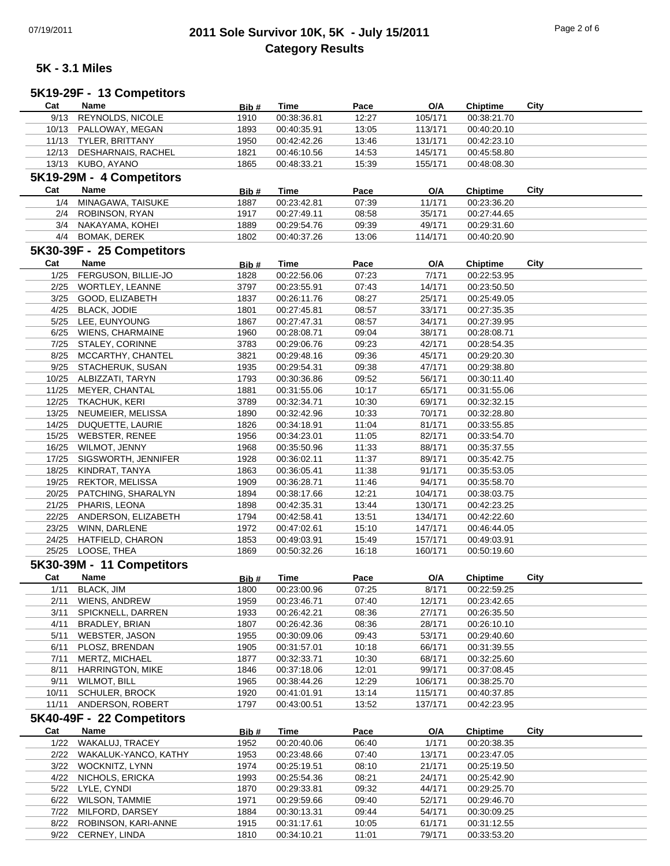## 07/19/2011 **2011 Sole Survivor 10K, 5K - July 15/2011** Page 2 of 6 **Category Results**

#### **5K - 3.1 Miles**

#### **Cat Name Bib # Time Pace O/A Chiptime City 5K19-29F - 13 Competitors**

|       | 9/13 REYNOLDS, NICOLE     | 1910  | 00:38:36.81 | 12:27 | 105/171 | 00:38:21.70     |      |
|-------|---------------------------|-------|-------------|-------|---------|-----------------|------|
|       | 10/13 PALLOWAY, MEGAN     | 1893  | 00:40:35.91 | 13:05 | 113/171 | 00:40:20.10     |      |
|       | 11/13 TYLER, BRITTANY     | 1950  | 00:42:42.26 | 13:46 | 131/171 | 00:42:23.10     |      |
| 12/13 | DESHARNAIS, RACHEL        | 1821  | 00:46:10.56 | 14:53 | 145/171 | 00:45:58.80     |      |
|       | 13/13 KUBO, AYANO         | 1865  | 00:48:33.21 | 15:39 | 155/171 | 00:48:08.30     |      |
|       |                           |       |             |       |         |                 |      |
|       | 5K19-29M - 4 Competitors  |       |             |       |         |                 |      |
| Cat   | Name                      | Bib # | Time        | Pace  | O/A     | <b>Chiptime</b> | City |
| 1/4   | MINAGAWA, TAISUKE         | 1887  | 00:23:42.81 | 07:39 | 11/171  | 00:23:36.20     |      |
|       | 2/4 ROBINSON, RYAN        | 1917  | 00:27:49.11 | 08:58 | 35/171  | 00:27:44.65     |      |
|       | 3/4 NAKAYAMA, KOHEI       | 1889  | 00:29:54.76 | 09:39 | 49/171  | 00:29:31.60     |      |
| 4/4   | <b>BOMAK, DEREK</b>       | 1802  | 00:40:37.26 | 13:06 | 114/171 | 00:40:20.90     |      |
|       |                           |       |             |       |         |                 |      |
|       | 5K30-39F - 25 Competitors |       |             |       |         |                 |      |
| Cat   | Name                      | Bib#  | <b>Time</b> | Pace  | O/A     | <b>Chiptime</b> | City |
| 1/25  | FERGUSON, BILLIE-JO       | 1828  | 00:22:56.06 | 07:23 | 7/171   | 00:22:53.95     |      |
| 2/25  | WORTLEY, LEANNE           | 3797  | 00:23:55.91 | 07:43 | 14/171  | 00:23:50.50     |      |
| 3/25  | GOOD, ELIZABETH           | 1837  | 00:26:11.76 | 08:27 | 25/171  | 00:25:49.05     |      |
| 4/25  | <b>BLACK, JODIE</b>       | 1801  | 00:27:45.81 | 08:57 | 33/171  | 00:27:35.35     |      |
| 5/25  | LEE, EUNYOUNG             | 1867  | 00:27:47.31 | 08:57 | 34/171  | 00:27:39.95     |      |
| 6/25  | <b>WIENS, CHARMAINE</b>   | 1960  | 00:28:08.71 | 09:04 | 38/171  | 00:28:08.71     |      |
| 7/25  | STALEY, CORINNE           | 3783  | 00:29:06.76 | 09:23 | 42/171  | 00:28:54.35     |      |
| 8/25  | MCCARTHY, CHANTEL         | 3821  | 00:29:48.16 | 09:36 | 45/171  | 00:29:20.30     |      |
| 9/25  | STACHERUK, SUSAN          | 1935  | 00:29:54.31 | 09:38 | 47/171  | 00:29:38.80     |      |
|       |                           |       |             |       |         |                 |      |
| 10/25 | ALBIZZATI, TARYN          | 1793  | 00:30:36.86 | 09:52 | 56/171  | 00:30:11.40     |      |
| 11/25 | MEYER, CHANTAL            | 1881  | 00:31:55.06 | 10:17 | 65/171  | 00:31:55.06     |      |
| 12/25 | TKACHUK, KERI             | 3789  | 00:32:34.71 | 10:30 | 69/171  | 00:32:32.15     |      |
| 13/25 | NEUMEIER, MELISSA         | 1890  | 00:32:42.96 | 10:33 | 70/171  | 00:32:28.80     |      |
| 14/25 | DUQUETTE, LAURIE          | 1826  | 00:34:18.91 | 11:04 | 81/171  | 00:33:55.85     |      |
| 15/25 | <b>WEBSTER, RENEE</b>     | 1956  | 00:34:23.01 | 11:05 | 82/171  | 00:33:54.70     |      |
| 16/25 | WILMOT, JENNY             | 1968  | 00:35:50.96 | 11:33 | 88/171  | 00:35:37.55     |      |
| 17/25 | SIGSWORTH, JENNIFER       | 1928  | 00:36:02.11 | 11:37 | 89/171  | 00:35:42.75     |      |
| 18/25 | KINDRAT, TANYA            | 1863  | 00:36:05.41 | 11:38 | 91/171  | 00:35:53.05     |      |
| 19/25 | REKTOR, MELISSA           | 1909  | 00:36:28.71 | 11:46 | 94/171  | 00:35:58.70     |      |
| 20/25 | PATCHING, SHARALYN        | 1894  | 00:38:17.66 | 12:21 | 104/171 | 00:38:03.75     |      |
| 21/25 | PHARIS, LEONA             | 1898  | 00:42:35.31 | 13:44 | 130/171 | 00:42:23.25     |      |
|       |                           |       |             |       |         |                 |      |
| 22/25 | ANDERSON, ELIZABETH       | 1794  | 00:42:58.41 | 13:51 | 134/171 | 00:42:22.60     |      |
| 23/25 | WINN, DARLENE             | 1972  | 00:47:02.61 | 15:10 | 147/171 | 00:46:44.05     |      |
| 24/25 | <b>HATFIELD, CHARON</b>   | 1853  | 00:49:03.91 | 15:49 | 157/171 | 00:49:03.91     |      |
| 25/25 | LOOSE, THEA               | 1869  | 00:50:32.26 | 16:18 | 160/171 | 00:50:19.60     |      |
|       | 5K30-39M - 11 Competitors |       |             |       |         |                 |      |
| Cat   | Name                      | Bib#  | <b>Time</b> | Pace  | O/A     | Chiptime        | City |
| 1/11  | <b>BLACK, JIM</b>         | 1800  | 00:23:00.96 | 07:25 | 8/171   | 00:22:59.25     |      |
| 2/11  | WIENS, ANDREW             | 1959  | 00:23:46.71 | 07:40 | 12/171  | 00:23:42.65     |      |
|       |                           |       |             |       |         |                 |      |
| 3/11  | SPICKNELL, DARREN         | 1933  | 00:26:42.21 | 08:36 | 27/171  | 00:26:35.50     |      |
| 4/11  | <b>BRADLEY, BRIAN</b>     | 1807  | 00:26:42.36 | 08:36 | 28/171  | 00:26:10.10     |      |
| 5/11  | WEBSTER, JASON            | 1955  | 00:30:09.06 | 09:43 | 53/171  | 00:29:40.60     |      |
| 6/11  | PLOSZ, BRENDAN            | 1905  | 00:31:57.01 | 10:18 | 66/171  | 00:31:39.55     |      |
| 7/11  | MERTZ, MICHAEL            | 1877  | 00:32:33.71 | 10:30 | 68/171  | 00:32:25.60     |      |
| 8/11  | <b>HARRINGTON, MIKE</b>   | 1846  | 00:37:18.06 | 12:01 | 99/171  | 00:37:08.45     |      |
| 9/11  | <b>WILMOT, BILL</b>       | 1965  | 00:38:44.26 | 12:29 | 106/171 | 00:38:25.70     |      |
| 10/11 | <b>SCHULER, BROCK</b>     | 1920  | 00:41:01.91 | 13:14 | 115/171 | 00:40:37.85     |      |
| 11/11 | ANDERSON, ROBERT          | 1797  | 00:43:00.51 | 13:52 | 137/171 | 00:42:23.95     |      |
|       | 5K40-49F - 22 Competitors |       |             |       |         |                 |      |
|       |                           |       |             |       |         |                 |      |
| Cat   | Name                      | Bib#  | <b>Time</b> | Pace  | O/A     | <b>Chiptime</b> | City |
| 1/22  | WAKALUJ, TRACEY           | 1952  | 00:20:40.06 | 06:40 | 1/171   | 00:20:38.35     |      |
| 2/22  | WAKALUK-YANCO, KATHY      | 1953  | 00:23:48.66 | 07:40 | 13/171  | 00:23:47.05     |      |
| 3/22  | WOCKNITZ, LYNN            | 1974  | 00:25:19.51 | 08:10 | 21/171  | 00:25:19.50     |      |
| 4/22  | NICHOLS, ERICKA           | 1993  | 00:25:54.36 | 08:21 | 24/171  | 00:25:42.90     |      |
|       | LYLE, CYNDI               | 1870  | 00:29:33.81 | 09:32 | 44/171  | 00:29:25.70     |      |
| 5/22  |                           |       |             | 09:40 | 52/171  | 00:29:46.70     |      |
| 6/22  | <b>WILSON, TAMMIE</b>     | 1971  | 00:29:59.66 |       |         |                 |      |
| 7/22  | MILFORD, DARSEY           | 1884  | 00:30:13.31 | 09:44 | 54/171  | 00:30:09.25     |      |
| 8/22  |                           | 1915  | 00:31:17.61 |       |         |                 |      |
|       | ROBINSON, KARI-ANNE       |       |             | 10:05 | 61/171  | 00:31:12.55     |      |
| 9/22  | CERNEY, LINDA             | 1810  | 00:34:10.21 | 11:01 | 79/171  | 00:33:53.20     |      |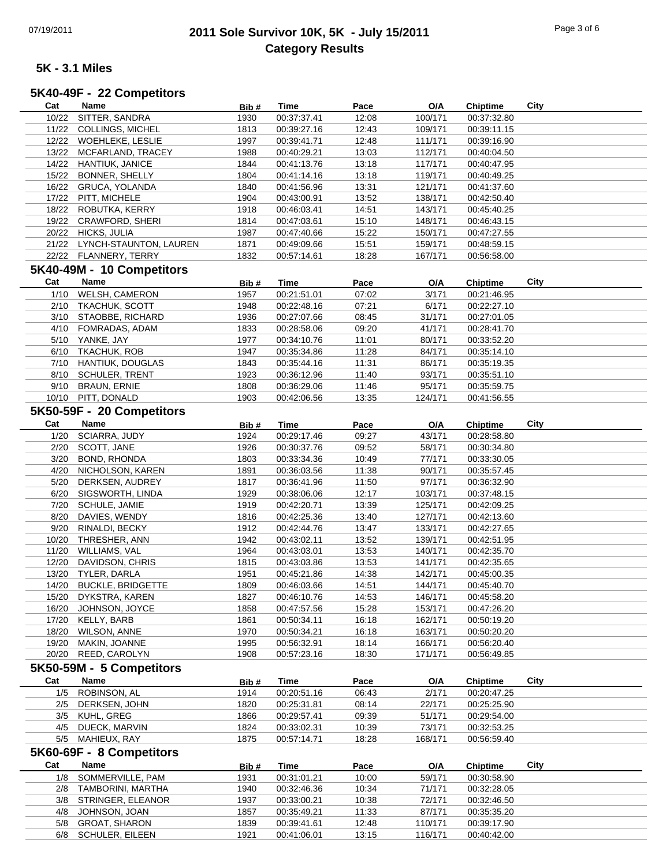## 07/19/2011 **2011 Sole Survivor 10K, 5K - July 15/2011** Page 3 of 6 **Category Results**

#### **5K - 3.1 Miles**

## **5K40-49F - 22 Competitors**

| Cat                      | Name                      | Bib# | Time        | Pace  | O/A        | <b>Chiptime</b> | City |  |
|--------------------------|---------------------------|------|-------------|-------|------------|-----------------|------|--|
| 10/22                    | SITTER, SANDRA            | 1930 | 00:37:37.41 | 12:08 | 100/171    | 00:37:32.80     |      |  |
| 11/22                    | COLLINGS, MICHEL          | 1813 | 00:39:27.16 | 12:43 | 109/171    | 00:39:11.15     |      |  |
| 12/22                    | WOEHLEKE, LESLIE          | 1997 | 00:39:41.71 | 12:48 | 111/171    | 00:39:16.90     |      |  |
|                          |                           | 1988 |             |       |            |                 |      |  |
| 13/22                    | MCFARLAND, TRACEY         |      | 00:40:29.21 | 13:03 | 112/171    | 00:40:04.50     |      |  |
| 14/22                    | <b>HANTIUK, JANICE</b>    | 1844 | 00:41:13.76 | 13:18 | 117/171    | 00:40:47.95     |      |  |
| 15/22                    | BONNER, SHELLY            | 1804 | 00:41:14.16 | 13:18 | 119/171    | 00:40:49.25     |      |  |
| 16/22                    | GRUCA, YOLANDA            | 1840 | 00:41:56.96 | 13:31 | 121/171    | 00:41:37.60     |      |  |
| 17/22                    | PITT, MICHELE             | 1904 | 00:43:00.91 | 13:52 | 138/171    | 00:42:50.40     |      |  |
| 18/22                    | ROBUTKA, KERRY            | 1918 | 00:46:03.41 | 14:51 | 143/171    | 00:45:40.25     |      |  |
| 19/22                    | CRAWFORD, SHERI           | 1814 | 00:47:03.61 | 15:10 | 148/171    | 00:46:43.15     |      |  |
| 20/22                    | <b>HICKS, JULIA</b>       | 1987 | 00:47:40.66 | 15:22 | 150/171    | 00:47:27.55     |      |  |
| 21/22                    | LYNCH-STAUNTON, LAUREN    | 1871 | 00:49:09.66 | 15:51 | 159/171    | 00:48:59.15     |      |  |
|                          | 22/22 FLANNERY, TERRY     | 1832 | 00:57:14.61 | 18:28 | 167/171    | 00:56:58.00     |      |  |
|                          |                           |      |             |       |            |                 |      |  |
|                          | 5K40-49M - 10 Competitors |      |             |       |            |                 |      |  |
| Cat                      | Name                      | Bib# | Time        | Pace  | O/A        | Chiptime        | City |  |
| 1/10                     | <b>WELSH, CAMERON</b>     | 1957 | 00:21:51.01 | 07:02 | 3/171      | 00:21:46.95     |      |  |
| 2/10                     | <b>TKACHUK, SCOTT</b>     | 1948 | 00:22:48.16 | 07:21 | 6/171      | 00:22:27.10     |      |  |
| 3/10                     | STAOBBE, RICHARD          | 1936 | 00:27:07.66 | 08:45 | 31/171     | 00:27:01.05     |      |  |
| 4/10                     | FOMRADAS, ADAM            | 1833 | 00:28:58.06 | 09:20 | 41/171     | 00:28:41.70     |      |  |
|                          |                           |      |             |       |            |                 |      |  |
| 5/10                     | YANKE, JAY                | 1977 | 00:34:10.76 | 11:01 | 80/171     | 00:33:52.20     |      |  |
| 6/10                     | <b>TKACHUK, ROB</b>       | 1947 | 00:35:34.86 | 11:28 | 84/171     | 00:35:14.10     |      |  |
| 7/10                     | HANTIUK, DOUGLAS          | 1843 | 00:35:44.16 | 11:31 | 86/171     | 00:35:19.35     |      |  |
| 8/10                     | <b>SCHULER, TRENT</b>     | 1923 | 00:36:12.96 | 11:40 | 93/171     | 00:35:51.10     |      |  |
| 9/10                     | <b>BRAUN, ERNIE</b>       | 1808 | 00:36:29.06 | 11:46 | 95/171     | 00:35:59.75     |      |  |
|                          | 10/10 PITT, DONALD        | 1903 | 00:42:06.56 | 13:35 | 124/171    | 00:41:56.55     |      |  |
|                          | 5K50-59F - 20 Competitors |      |             |       |            |                 |      |  |
|                          |                           |      |             |       |            |                 |      |  |
| Cat                      | Name                      | Bib# | <b>Time</b> | Pace  | O/A        | <b>Chiptime</b> | City |  |
| 1/20                     | SCIARRA, JUDY             | 1924 | 00:29:17.46 | 09:27 | 43/171     | 00:28:58.80     |      |  |
| 2/20                     | SCOTT, JANE               | 1926 | 00:30:37.76 | 09:52 | 58/171     | 00:30:34.80     |      |  |
| 3/20                     | <b>BOND, RHONDA</b>       | 1803 | 00:33:34.36 | 10:49 | 77/171     | 00:33:30.05     |      |  |
| 4/20                     | NICHOLSON, KAREN          | 1891 | 00:36:03.56 | 11:38 | 90/171     | 00:35:57.45     |      |  |
| 5/20                     | DERKSEN, AUDREY           | 1817 | 00:36:41.96 | 11:50 | 97/171     | 00:36:32.90     |      |  |
| 6/20                     | SIGSWORTH, LINDA          | 1929 | 00:38:06.06 | 12:17 | 103/171    | 00:37:48.15     |      |  |
| 7/20                     | SCHULE, JAMIE             | 1919 | 00:42:20.71 | 13:39 | 125/171    | 00:42:09.25     |      |  |
|                          |                           |      |             |       |            |                 |      |  |
| 8/20                     | DAVIES, WENDY             | 1816 | 00:42:25.36 | 13:40 | 127/171    | 00:42:13.60     |      |  |
| 9/20                     | RINALDI, BECKY            | 1912 | 00:42:44.76 | 13:47 | 133/171    | 00:42:27.65     |      |  |
| 10/20                    | THRESHER, ANN             | 1942 | 00:43:02.11 | 13:52 | 139/171    | 00:42:51.95     |      |  |
| 11/20                    | WILLIAMS, VAL             | 1964 | 00:43:03.01 | 13:53 | 140/171    | 00:42:35.70     |      |  |
| 12/20                    | DAVIDSON, CHRIS           | 1815 | 00:43:03.86 | 13:53 | 141/171    | 00:42:35.65     |      |  |
| 13/20                    | TYLER, DARLA              | 1951 | 00:45:21.86 | 14:38 | 142/171    | 00:45:00.35     |      |  |
| 14/20                    | <b>BUCKLE, BRIDGETTE</b>  | 1809 | 00:46:03.66 | 14:51 | 144/171    | 00:45:40.70     |      |  |
| 15/20                    | DYKSTRA, KAREN            | 1827 | 00:46:10.76 | 14:53 | 146/171    | 00:45:58.20     |      |  |
| 16/20                    | JOHNSON, JOYCE            | 1858 | 00:47:57.56 | 15:28 | 153/171    | 00:47:26.20     |      |  |
| 17/20                    | KELLY, BARB               | 1861 | 00:50:34.11 | 16:18 | 162/171    | 00:50:19.20     |      |  |
|                          |                           |      | 00:50:34.21 |       |            |                 |      |  |
| 18/20                    | <b>WILSON, ANNE</b>       | 1970 |             | 16:18 | 163/171    | 00:50:20.20     |      |  |
| 19/20                    | MAKIN, JOANNE             | 1995 | 00:56:32.91 | 18:14 | 166/171    | 00:56:20.40     |      |  |
| 20/20                    | REED, CAROLYN             | 1908 | 00:57:23.16 | 18:30 | 171/171    | 00:56:49.85     |      |  |
| 5K50-59M - 5 Competitors |                           |      |             |       |            |                 |      |  |
| Cat                      | <b>Name</b>               | Bib# | Time        | Pace  | <u>O/A</u> | Chiptime        | City |  |
| 1/5                      | ROBINSON, AL              | 1914 | 00:20:51.16 | 06:43 | 2/171      | 00:20:47.25     |      |  |
|                          |                           |      |             |       | 22/171     |                 |      |  |
| 2/5                      | DERKSEN, JOHN             | 1820 | 00:25:31.81 | 08:14 |            | 00:25:25.90     |      |  |
| 3/5                      | KUHL, GREG                | 1866 | 00:29:57.41 | 09:39 | 51/171     | 00:29:54.00     |      |  |
| 4/5                      | DUECK, MARVIN             | 1824 | 00:33:02.31 | 10:39 | 73/171     | 00:32:53.25     |      |  |
| 5/5                      | MAHIEUX, RAY              | 1875 | 00:57:14.71 | 18:28 | 168/171    | 00:56:59.40     |      |  |
|                          | 5K60-69F - 8 Competitors  |      |             |       |            |                 |      |  |
| Cat                      | Name                      |      | <b>Time</b> | Pace  | O/A        | <b>Chiptime</b> | City |  |
|                          |                           | Bib# |             |       |            |                 |      |  |
| 1/8                      | SOMMERVILLE, PAM          | 1931 | 00:31:01.21 | 10:00 | 59/171     | 00:30:58.90     |      |  |
| 2/8                      | TAMBORINI, MARTHA         | 1940 | 00:32:46.36 | 10:34 | 71/171     | 00:32:28.05     |      |  |
| 3/8                      |                           |      |             |       | 72/171     | 00:32:46.50     |      |  |
|                          | STRINGER, ELEANOR         | 1937 | 00:33:00.21 | 10:38 |            |                 |      |  |
| 4/8                      | JOHNSON, JOAN             | 1857 | 00:35:49.21 | 11:33 | 87/171     | 00:35:35.20     |      |  |
| 5/8                      | <b>GROAT, SHARON</b>      | 1839 | 00:39:41.61 | 12:48 | 110/171    | 00:39:17.90     |      |  |
| 6/8                      | SCHULER, EILEEN           | 1921 | 00:41:06.01 | 13:15 | 116/171    | 00:40:42.00     |      |  |